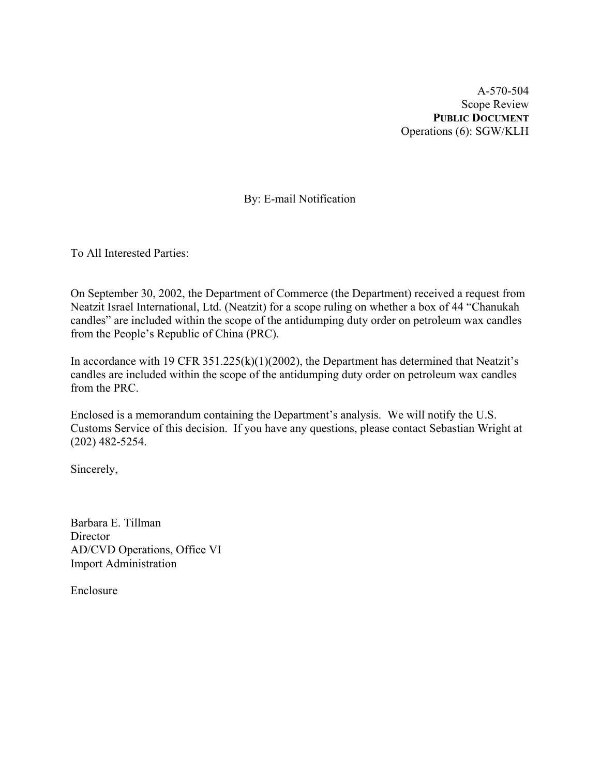A-570-504 Scope Review **PUBLIC DOCUMENT** Operations (6): SGW/KLH

# By: E-mail Notification

To All Interested Parties:

On September 30, 2002, the Department of Commerce (the Department) received a request from Neatzit Israel International, Ltd. (Neatzit) for a scope ruling on whether a box of 44 "Chanukah candles" are included within the scope of the antidumping duty order on petroleum wax candles from the People's Republic of China (PRC).

In accordance with 19 CFR 351.225(k)(1)(2002), the Department has determined that Neatzit's candles are included within the scope of the antidumping duty order on petroleum wax candles from the PRC.

Enclosed is a memorandum containing the Department's analysis. We will notify the U.S. Customs Service of this decision. If you have any questions, please contact Sebastian Wright at (202) 482-5254.

Sincerely,

Barbara E. Tillman **Director** AD/CVD Operations, Office VI Import Administration

Enclosure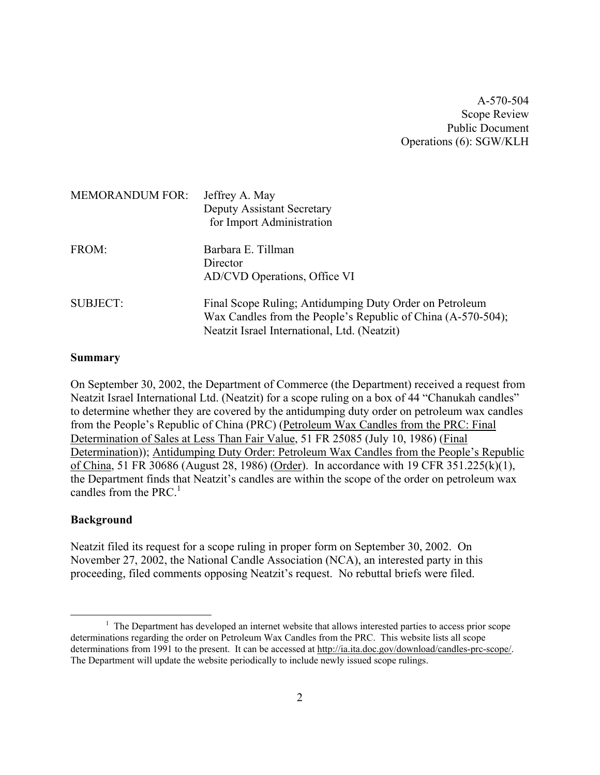A-570-504 Scope Review Public Document Operations (6): SGW/KLH

| <b>MEMORANDUM FOR:</b> | Jeffrey A. May<br><b>Deputy Assistant Secretary</b><br>for Import Administration                                                                                        |
|------------------------|-------------------------------------------------------------------------------------------------------------------------------------------------------------------------|
| FROM:                  | Barbara E. Tillman<br>Director<br>AD/CVD Operations, Office VI                                                                                                          |
| <b>SUBJECT:</b>        | Final Scope Ruling; Antidumping Duty Order on Petroleum<br>Wax Candles from the People's Republic of China (A-570-504);<br>Neatzit Israel International, Ltd. (Neatzit) |

# **Summary**

On September 30, 2002, the Department of Commerce (the Department) received a request from Neatzit Israel International Ltd. (Neatzit) for a scope ruling on a box of 44 "Chanukah candles" to determine whether they are covered by the antidumping duty order on petroleum wax candles from the People's Republic of China (PRC) (Petroleum Wax Candles from the PRC: Final Determination of Sales at Less Than Fair Value, 51 FR 25085 (July 10, 1986) (Final Determination)); Antidumping Duty Order: Petroleum Wax Candles from the People's Republic of China, 51 FR 30686 (August 28, 1986) (Order). In accordance with 19 CFR 351.225(k)(1), the Department finds that Neatzit's candles are within the scope of the order on petroleum wax candles from the PRC. $<sup>1</sup>$  $<sup>1</sup>$  $<sup>1</sup>$ </sup>

#### **Background**

Neatzit filed its request for a scope ruling in proper form on September 30, 2002. On November 27, 2002, the National Candle Association (NCA), an interested party in this proceeding, filed comments opposing Neatzit's request. No rebuttal briefs were filed.

<span id="page-1-0"></span> $\frac{1}{1}$  $1$  The Department has developed an internet website that allows interested parties to access prior scope determinations regarding the order on Petroleum Wax Candles from the PRC. This website lists all scope determinations from 1991 to the present. It can be accessed at [http://ia.ita.doc.gov/download/candles-prc-scope/.](http://ia.ita.doc.gov/download/candles-prc-scope/,) The Department will update the website periodically to include newly issued scope rulings.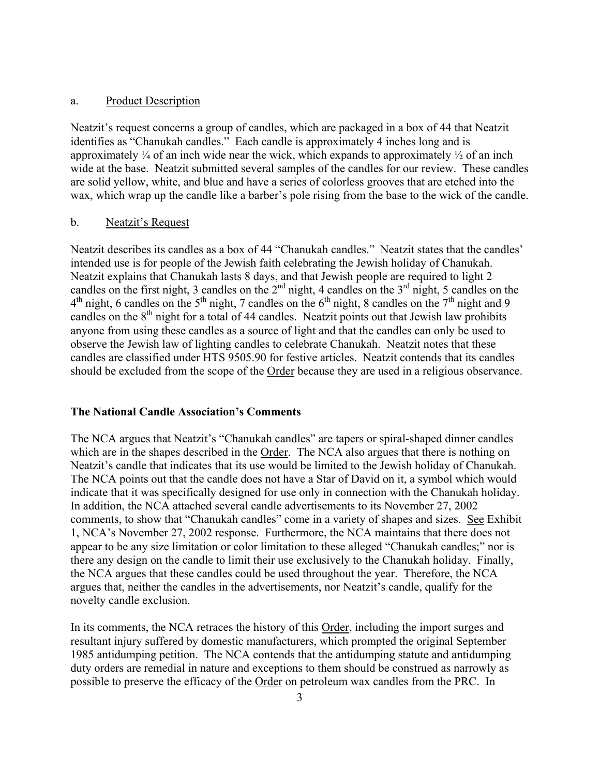#### a. Product Description

Neatzit's request concerns a group of candles, which are packaged in a box of 44 that Neatzit identifies as "Chanukah candles." Each candle is approximately 4 inches long and is approximately  $\frac{1}{4}$  of an inch wide near the wick, which expands to approximately  $\frac{1}{2}$  of an inch wide at the base. Neatzit submitted several samples of the candles for our review. These candles are solid yellow, white, and blue and have a series of colorless grooves that are etched into the wax, which wrap up the candle like a barber's pole rising from the base to the wick of the candle.

#### b. Neatzit's Request

Neatzit describes its candles as a box of 44 "Chanukah candles." Neatzit states that the candles' intended use is for people of the Jewish faith celebrating the Jewish holiday of Chanukah. Neatzit explains that Chanukah lasts 8 days, and that Jewish people are required to light 2 candles on the first night, 3 candles on the 2<sup>nd</sup> night, 4 candles on the 3<sup>rd</sup> night, 5 candles on the  $4<sup>th</sup>$  night, 6 candles on the 5<sup>th</sup> night, 7 candles on the 6<sup>th</sup> night, 8 candles on the 7<sup>th</sup> night and 9 candles on the 8<sup>th</sup> night for a total of 44 candles. Neatzit points out that Jewish law prohibits anyone from using these candles as a source of light and that the candles can only be used to observe the Jewish law of lighting candles to celebrate Chanukah. Neatzit notes that these candles are classified under HTS 9505.90 for festive articles. Neatzit contends that its candles should be excluded from the scope of the Order because they are used in a religious observance.

#### **The National Candle Association's Comments**

The NCA argues that Neatzit's "Chanukah candles" are tapers or spiral-shaped dinner candles which are in the shapes described in the Order. The NCA also argues that there is nothing on Neatzit's candle that indicates that its use would be limited to the Jewish holiday of Chanukah. The NCA points out that the candle does not have a Star of David on it, a symbol which would indicate that it was specifically designed for use only in connection with the Chanukah holiday. In addition, the NCA attached several candle advertisements to its November 27, 2002 comments, to show that "Chanukah candles" come in a variety of shapes and sizes. See Exhibit 1, NCA's November 27, 2002 response. Furthermore, the NCA maintains that there does not appear to be any size limitation or color limitation to these alleged "Chanukah candles;" nor is there any design on the candle to limit their use exclusively to the Chanukah holiday. Finally, the NCA argues that these candles could be used throughout the year. Therefore, the NCA argues that, neither the candles in the advertisements, nor Neatzit's candle, qualify for the novelty candle exclusion.

In its comments, the NCA retraces the history of this Order, including the import surges and resultant injury suffered by domestic manufacturers, which prompted the original September 1985 antidumping petition. The NCA contends that the antidumping statute and antidumping duty orders are remedial in nature and exceptions to them should be construed as narrowly as possible to preserve the efficacy of the Order on petroleum wax candles from the PRC. In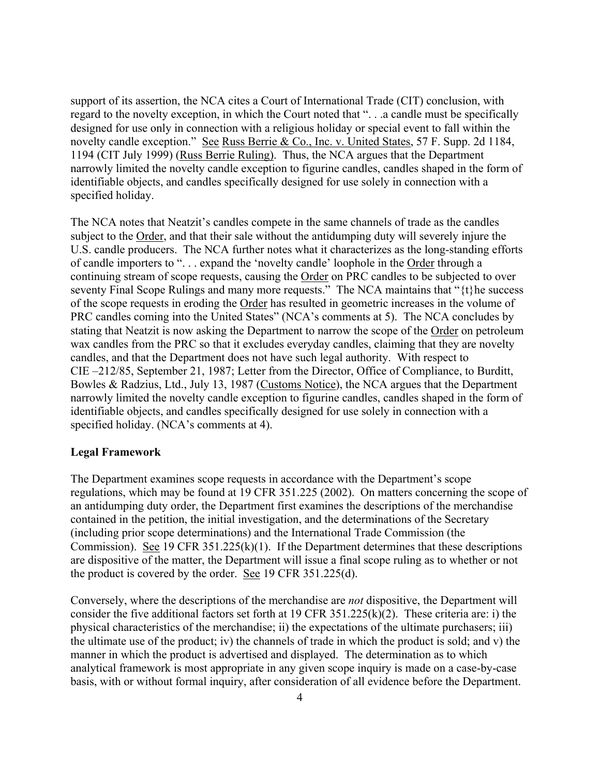support of its assertion, the NCA cites a Court of International Trade (CIT) conclusion, with regard to the novelty exception, in which the Court noted that ". . .a candle must be specifically designed for use only in connection with a religious holiday or special event to fall within the novelty candle exception." See Russ Berrie & Co., Inc. v. United States, 57 F. Supp. 2d 1184, 1194 (CIT July 1999) (Russ Berrie Ruling). Thus, the NCA argues that the Department narrowly limited the novelty candle exception to figurine candles, candles shaped in the form of identifiable objects, and candles specifically designed for use solely in connection with a specified holiday.

The NCA notes that Neatzit's candles compete in the same channels of trade as the candles subject to the Order, and that their sale without the antidumping duty will severely injure the U.S. candle producers. The NCA further notes what it characterizes as the long-standing efforts of candle importers to ". . . expand the 'novelty candle' loophole in the Order through a continuing stream of scope requests, causing the Order on PRC candles to be subjected to over seventy Final Scope Rulings and many more requests." The NCA maintains that " $\{t\}$ he success of the scope requests in eroding the Order has resulted in geometric increases in the volume of PRC candles coming into the United States" (NCA's comments at 5). The NCA concludes by stating that Neatzit is now asking the Department to narrow the scope of the Order on petroleum wax candles from the PRC so that it excludes everyday candles, claiming that they are novelty candles, and that the Department does not have such legal authority. With respect to CIE –212/85, September 21, 1987; Letter from the Director, Office of Compliance, to Burditt, Bowles & Radzius, Ltd., July 13, 1987 (Customs Notice), the NCA argues that the Department narrowly limited the novelty candle exception to figurine candles, candles shaped in the form of identifiable objects, and candles specifically designed for use solely in connection with a specified holiday. (NCA's comments at 4).

# **Legal Framework**

The Department examines scope requests in accordance with the Department's scope regulations, which may be found at 19 CFR 351.225 (2002). On matters concerning the scope of an antidumping duty order, the Department first examines the descriptions of the merchandise contained in the petition, the initial investigation, and the determinations of the Secretary (including prior scope determinations) and the International Trade Commission (the Commission). See 19 CFR 351.225(k)(1). If the Department determines that these descriptions are dispositive of the matter, the Department will issue a final scope ruling as to whether or not the product is covered by the order. See 19 CFR 351.225(d).

Conversely, where the descriptions of the merchandise are *not* dispositive, the Department will consider the five additional factors set forth at 19 CFR 351.225(k)(2). These criteria are: i) the physical characteristics of the merchandise; ii) the expectations of the ultimate purchasers; iii) the ultimate use of the product; iv) the channels of trade in which the product is sold; and v) the manner in which the product is advertised and displayed. The determination as to which analytical framework is most appropriate in any given scope inquiry is made on a case-by-case basis, with or without formal inquiry, after consideration of all evidence before the Department.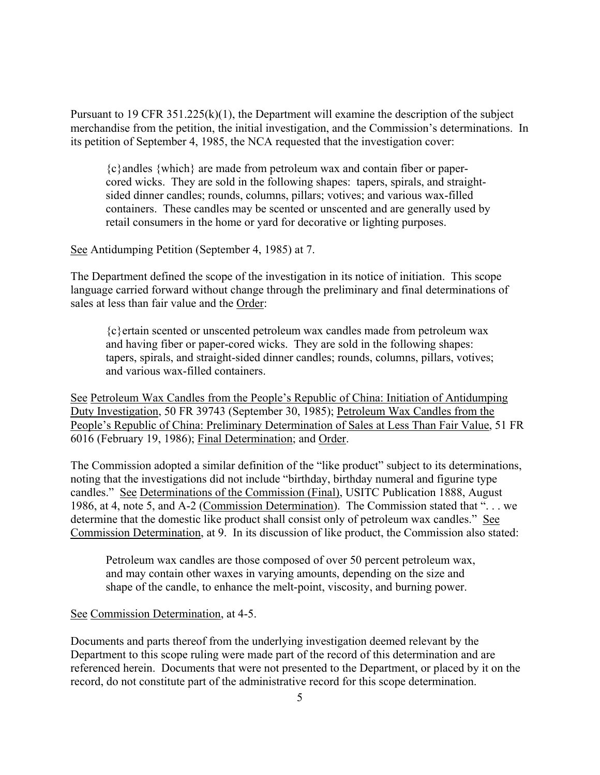Pursuant to 19 CFR 351.225(k)(1), the Department will examine the description of the subject merchandise from the petition, the initial investigation, and the Commission's determinations. In its petition of September 4, 1985, the NCA requested that the investigation cover:

{c}andles {which} are made from petroleum wax and contain fiber or papercored wicks. They are sold in the following shapes: tapers, spirals, and straightsided dinner candles; rounds, columns, pillars; votives; and various wax-filled containers. These candles may be scented or unscented and are generally used by retail consumers in the home or yard for decorative or lighting purposes.

See Antidumping Petition (September 4, 1985) at 7.

The Department defined the scope of the investigation in its notice of initiation. This scope language carried forward without change through the preliminary and final determinations of sales at less than fair value and the Order:

{c}ertain scented or unscented petroleum wax candles made from petroleum wax and having fiber or paper-cored wicks. They are sold in the following shapes: tapers, spirals, and straight-sided dinner candles; rounds, columns, pillars, votives; and various wax-filled containers.

See Petroleum Wax Candles from the People's Republic of China: Initiation of Antidumping Duty Investigation, 50 FR 39743 (September 30, 1985); Petroleum Wax Candles from the People's Republic of China: Preliminary Determination of Sales at Less Than Fair Value, 51 FR 6016 (February 19, 1986); Final Determination; and Order.

The Commission adopted a similar definition of the "like product" subject to its determinations, noting that the investigations did not include "birthday, birthday numeral and figurine type candles." See Determinations of the Commission (Final), USITC Publication 1888, August 1986, at 4, note 5, and A-2 (Commission Determination). The Commission stated that ". . . we determine that the domestic like product shall consist only of petroleum wax candles." See Commission Determination, at 9. In its discussion of like product, the Commission also stated:

Petroleum wax candles are those composed of over 50 percent petroleum wax, and may contain other waxes in varying amounts, depending on the size and shape of the candle, to enhance the melt-point, viscosity, and burning power.

See Commission Determination, at 4-5.

Documents and parts thereof from the underlying investigation deemed relevant by the Department to this scope ruling were made part of the record of this determination and are referenced herein. Documents that were not presented to the Department, or placed by it on the record, do not constitute part of the administrative record for this scope determination.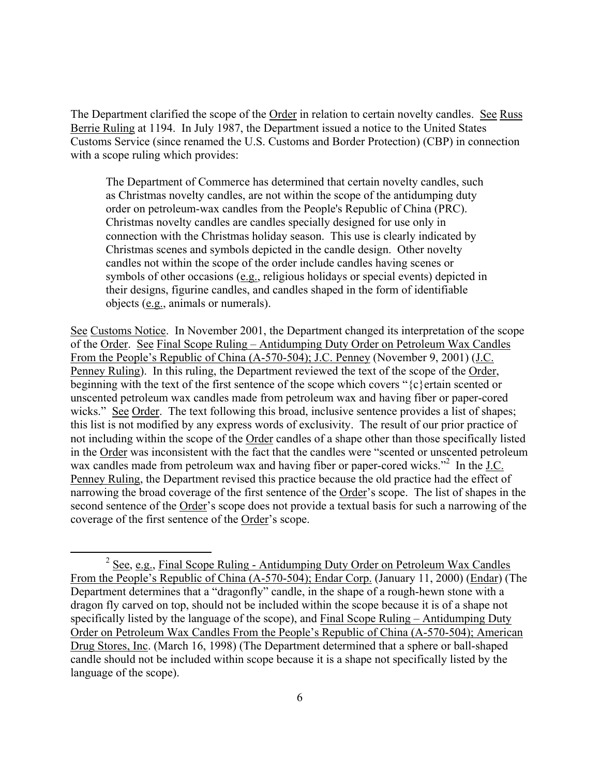The Department clarified the scope of the Order in relation to certain novelty candles. See Russ Berrie Ruling at 1194. In July 1987, the Department issued a notice to the United States Customs Service (since renamed the U.S. Customs and Border Protection) (CBP) in connection with a scope ruling which provides:

The Department of Commerce has determined that certain novelty candles, such as Christmas novelty candles, are not within the scope of the antidumping duty order on petroleum-wax candles from the People's Republic of China (PRC). Christmas novelty candles are candles specially designed for use only in connection with the Christmas holiday season. This use is clearly indicated by Christmas scenes and symbols depicted in the candle design. Other novelty candles not within the scope of the order include candles having scenes or symbols of other occasions (e.g., religious holidays or special events) depicted in their designs, figurine candles, and candles shaped in the form of identifiable objects (e.g., animals or numerals).

See Customs Notice. In November 2001, the Department changed its interpretation of the scope of the Order. See Final Scope Ruling – Antidumping Duty Order on Petroleum Wax Candles From the People's Republic of China (A-570-504); J.C. Penney (November 9, 2001) (J.C. Penney Ruling). In this ruling, the Department reviewed the text of the scope of the Order, beginning with the text of the first sentence of the scope which covers "{c}ertain scented or unscented petroleum wax candles made from petroleum wax and having fiber or paper-cored wicks." See Order. The text following this broad, inclusive sentence provides a list of shapes; this list is not modified by any express words of exclusivity. The result of our prior practice of not including within the scope of the Order candles of a shape other than those specifically listed in the Order was inconsistent with the fact that the candles were "scented or unscented petroleum wax candles made from petroleum wax and having fiber or paper-cored wicks."<sup>2</sup> In the J.C. Penney Ruling, the Department revised this practice because the old practice had the effect of narrowing the broad coverage of the first sentence of the Order's scope. The list of shapes in the second sentence of the Order's scope does not provide a textual basis for such a narrowing of the coverage of the first sentence of the Order's scope.

<span id="page-5-0"></span> $2$  See, e.g., Final Scope Ruling - Antidumping Duty Order on Petroleum Wax Candles From the People's Republic of China (A-570-504); Endar Corp. (January 11, 2000) (Endar) (The Department determines that a "dragonfly" candle, in the shape of a rough-hewn stone with a dragon fly carved on top, should not be included within the scope because it is of a shape not specifically listed by the language of the scope), and Final Scope Ruling – Antidumping Duty Order on Petroleum Wax Candles From the People's Republic of China (A-570-504); American Drug Stores, Inc. (March 16, 1998) (The Department determined that a sphere or ball-shaped candle should not be included within scope because it is a shape not specifically listed by the language of the scope).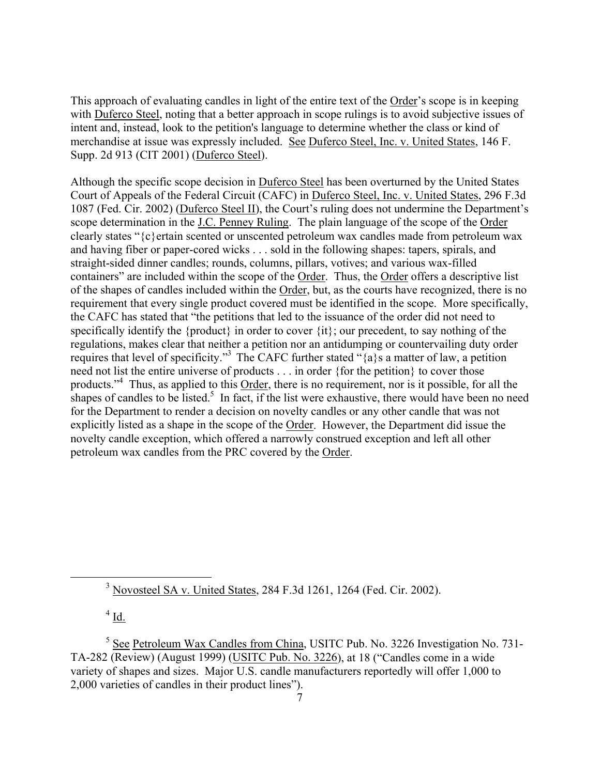This approach of evaluating candles in light of the entire text of the Order's scope is in keeping with Duferco Steel, noting that a better approach in scope rulings is to avoid subjective issues of intent and, instead, look to the petition's language to determine whether the class or kind of merchandise at issue was expressly included. See Duferco Steel, Inc. v. United States, 146 F. Supp. 2d 913 (CIT 2001) (Duferco Steel).

Although the specific scope decision in Duferco Steel has been overturned by the United States Court of Appeals of the Federal Circuit (CAFC) in Duferco Steel, Inc. v. United States, 296 F.3d 1087 (Fed. Cir. 2002) (Duferco Steel II), the Court's ruling does not undermine the Department's scope determination in the J.C. Penney Ruling. The plain language of the scope of the Order clearly states "{c}ertain scented or unscented petroleum wax candles made from petroleum wax and having fiber or paper-cored wicks . . . sold in the following shapes: tapers, spirals, and straight-sided dinner candles; rounds, columns, pillars, votives; and various wax-filled containers" are included within the scope of the Order. Thus, the Order offers a descriptive list of the shapes of candles included within the Order, but, as the courts have recognized, there is no requirement that every single product covered must be identified in the scope. More specifically, the CAFC has stated that "the petitions that led to the issuance of the order did not need to specifically identify the {product} in order to cover {it}; our precedent, to say nothing of the regulations, makes clear that neither a petition nor an antidumping or countervailing duty order requires that level of specificity."<sup>3</sup> The CAFC further stated " $\{a\}$ s a matter of law, a petition need not list the entire universe of products . . . in order {for the petition} to cover those products."[4](#page-6-1) Thus, as applied to this Order, there is no requirement, nor is it possible, for all the shapes of candles to be listed.<sup>[5](#page-6-2)</sup> In fact, if the list were exhaustive, there would have been no need for the Department to render a decision on novelty candles or any other candle that was not explicitly listed as a shape in the scope of the Order. However, the Department did issue the novelty candle exception, which offered a narrowly construed exception and left all other petroleum wax candles from the PRC covered by the Order.

<span id="page-6-0"></span>3 Novosteel SA v. United States, 284 F.3d 1261, 1264 (Fed. Cir. 2002).

<span id="page-6-2"></span><span id="page-6-1"></span> $4$  Id.

<sup>5</sup> See Petroleum Wax Candles from China, USITC Pub. No. 3226 Investigation No. 731- TA-282 (Review) (August 1999) (USITC Pub. No. 3226), at 18 ("Candles come in a wide variety of shapes and sizes. Major U.S. candle manufacturers reportedly will offer 1,000 to 2,000 varieties of candles in their product lines").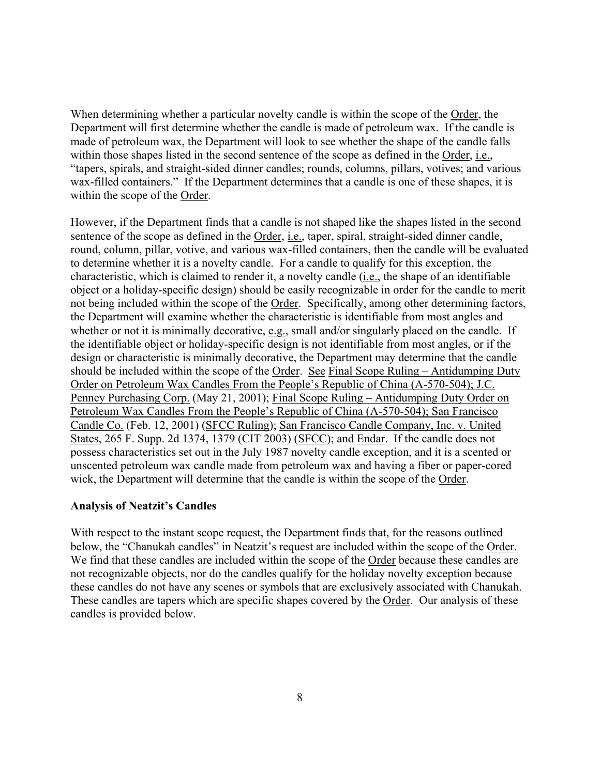When determining whether a particular novelty candle is within the scope of the Order, the Department will first determine whether the candle is made of petroleum wax. If the candle is made of petroleum wax, the Department will look to see whether the shape of the candle falls within those shapes listed in the second sentence of the scope as defined in the Order, i.e., "tapers, spirals, and straight-sided dinner candles; rounds, columns, pillars, votives; and various wax-filled containers." If the Department determines that a candle is one of these shapes, it is within the scope of the Order.

However, if the Department finds that a candle is not shaped like the shapes listed in the second sentence of the scope as defined in the Order, *i.e.*, taper, spiral, straight-sided dinner candle, round, column, pillar, votive, and various wax-filled containers, then the candle will be evaluated to determine whether it is a novelty candle. For a candle to qualify for this exception, the characteristic, which is claimed to render it, a novelty candle (i.e., the shape of an identifiable object or a holiday-specific design) should be easily recognizable in order for the candle to merit not being included within the scope of the Order. Specifically, among other determining factors, the Department will examine whether the characteristic is identifiable from most angles and whether or not it is minimally decorative, e.g., small and/or singularly placed on the candle. If the identifiable object or holiday-specific design is not identifiable from most angles, or if the design or characteristic is minimally decorative, the Department may determine that the candle should be included within the scope of the Order. See Final Scope Ruling – Antidumping Duty Order on Petroleum Wax Candles From the People's Republic of China (A-570-504); J.C. Penney Purchasing Corp. (May 21, 2001); Final Scope Ruling – Antidumping Duty Order on Petroleum Wax Candles From the People's Republic of China (A-570-504); San Francisco Candle Co. (Feb. 12, 2001) (SFCC Ruling); San Francisco Candle Company, Inc. v. United States, 265 F. Supp. 2d 1374, 1379 (CIT 2003) (SFCC); and Endar. If the candle does not possess characteristics set out in the July 1987 novelty candle exception, and it is a scented or unscented petroleum wax candle made from petroleum wax and having a fiber or paper-cored wick, the Department will determine that the candle is within the scope of the Order.

#### **Analysis of Neatzit's Candles**

With respect to the instant scope request, the Department finds that, for the reasons outlined below, the "Chanukah candles" in Neatzit's request are included within the scope of the Order. We find that these candles are included within the scope of the Order because these candles are not recognizable objects, nor do the candles qualify for the holiday novelty exception because these candles do not have any scenes or symbols that are exclusively associated with Chanukah. These candles are tapers which are specific shapes covered by the Order. Our analysis of these candles is provided below.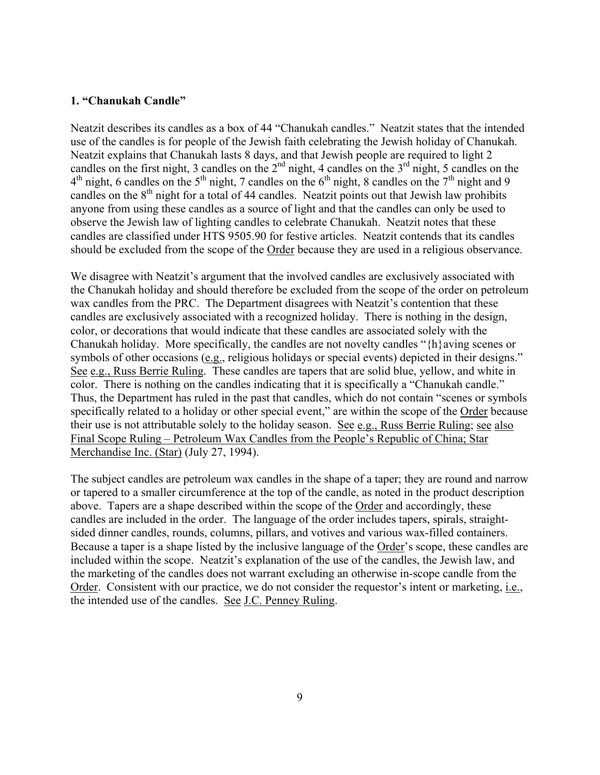# **1. "Chanukah Candle"**

Neatzit describes its candles as a box of 44 "Chanukah candles." Neatzit states that the intended use of the candles is for people of the Jewish faith celebrating the Jewish holiday of Chanukah. Neatzit explains that Chanukah lasts 8 days, and that Jewish people are required to light 2 candles on the first night, 3 candles on the  $2<sup>nd</sup>$  night, 4 candles on the  $3<sup>rd</sup>$  night, 5 candles on the  $4<sup>th</sup>$  night, 6 candles on the 5<sup>th</sup> night, 7 candles on the 6<sup>th</sup> night, 8 candles on the 7<sup>th</sup> night and 9 candles on the  $8<sup>th</sup>$  night for a total of 44 candles. Neatzit points out that Jewish law prohibits anyone from using these candles as a source of light and that the candles can only be used to observe the Jewish law of lighting candles to celebrate Chanukah. Neatzit notes that these candles are classified under HTS 9505.90 for festive articles. Neatzit contends that its candles should be excluded from the scope of the Order because they are used in a religious observance.

We disagree with Neatzit's argument that the involved candles are exclusively associated with the Chanukah holiday and should therefore be excluded from the scope of the order on petroleum wax candles from the PRC. The Department disagrees with Neatzit's contention that these candles are exclusively associated with a recognized holiday. There is nothing in the design, color, or decorations that would indicate that these candles are associated solely with the Chanukah holiday. More specifically, the candles are not novelty candles "{h}aving scenes or symbols of other occasions (e.g., religious holidays or special events) depicted in their designs." See e.g., Russ Berrie Ruling. These candles are tapers that are solid blue, yellow, and white in color. There is nothing on the candles indicating that it is specifically a "Chanukah candle." Thus, the Department has ruled in the past that candles, which do not contain "scenes or symbols specifically related to a holiday or other special event," are within the scope of the Order because their use is not attributable solely to the holiday season. See e.g., Russ Berrie Ruling; see also Final Scope Ruling – Petroleum Wax Candles from the People's Republic of China; Star Merchandise Inc. (Star) (July 27, 1994).

The subject candles are petroleum wax candles in the shape of a taper; they are round and narrow or tapered to a smaller circumference at the top of the candle, as noted in the product description above. Tapers are a shape described within the scope of the Order and accordingly, these candles are included in the order. The language of the order includes tapers, spirals, straightsided dinner candles, rounds, columns, pillars, and votives and various wax-filled containers. Because a taper is a shape listed by the inclusive language of the Order's scope, these candles are included within the scope. Neatzit's explanation of the use of the candles, the Jewish law, and the marketing of the candles does not warrant excluding an otherwise in-scope candle from the Order. Consistent with our practice, we do not consider the requestor's intent or marketing, *i.e.*, the intended use of the candles. See J.C. Penney Ruling.